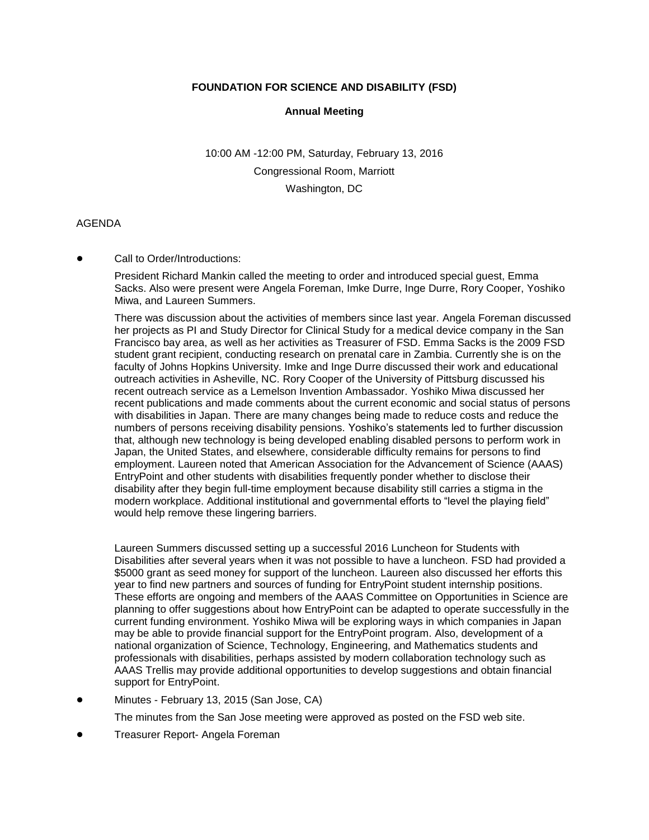## **FOUNDATION FOR SCIENCE AND DISABILITY (FSD)**

## **Annual Meeting**

10:00 AM -12:00 PM, Saturday, February 13, 2016 Congressional Room, Marriott Washington, DC

## AGENDA

Call to Order/Introductions:

President Richard Mankin called the meeting to order and introduced special guest, Emma Sacks. Also were present were Angela Foreman, Imke Durre, Inge Durre, Rory Cooper, Yoshiko Miwa, and Laureen Summers.

There was discussion about the activities of members since last year. Angela Foreman discussed her projects as PI and Study Director for Clinical Study for a medical device company in the San Francisco bay area, as well as her activities as Treasurer of FSD. Emma Sacks is the 2009 FSD student grant recipient, conducting research on prenatal care in Zambia. Currently she is on the faculty of Johns Hopkins University. Imke and Inge Durre discussed their work and educational outreach activities in Asheville, NC. Rory Cooper of the University of Pittsburg discussed his recent outreach service as a Lemelson Invention Ambassador. Yoshiko Miwa discussed her recent publications and made comments about the current economic and social status of persons with disabilities in Japan. There are many changes being made to reduce costs and reduce the numbers of persons receiving disability pensions. Yoshiko's statements led to further discussion that, although new technology is being developed enabling disabled persons to perform work in Japan, the United States, and elsewhere, considerable difficulty remains for persons to find employment. Laureen noted that American Association for the Advancement of Science (AAAS) EntryPoint and other students with disabilities frequently ponder whether to disclose their disability after they begin full-time employment because disability still carries a stigma in the modern workplace. Additional institutional and governmental efforts to "level the playing field" would help remove these lingering barriers.

Laureen Summers discussed setting up a successful 2016 Luncheon for Students with Disabilities after several years when it was not possible to have a luncheon. FSD had provided a \$5000 grant as seed money for support of the luncheon. Laureen also discussed her efforts this year to find new partners and sources of funding for EntryPoint student internship positions. These efforts are ongoing and members of the AAAS Committee on Opportunities in Science are planning to offer suggestions about how EntryPoint can be adapted to operate successfully in the current funding environment. Yoshiko Miwa will be exploring ways in which companies in Japan may be able to provide financial support for the EntryPoint program. Also, development of a national organization of Science, Technology, Engineering, and Mathematics students and professionals with disabilities, perhaps assisted by modern collaboration technology such as AAAS Trellis may provide additional opportunities to develop suggestions and obtain financial support for EntryPoint.

Minutes - February 13, 2015 (San Jose, CA)

The minutes from the San Jose meeting were approved as posted on the FSD web site.

! Treasurer Report- Angela Foreman